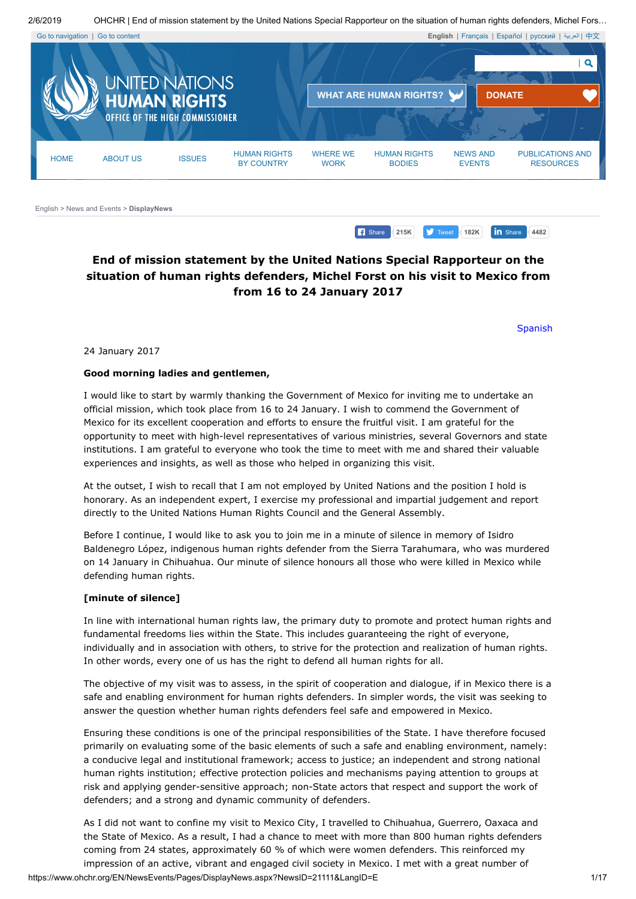



<span id="page-0-1"></span><span id="page-0-0"></span>[English](https://www.ohchr.org/EN/pages/home.aspx) > [News and Events](https://www.ohchr.org/EN/NewsEvents/Pages/Media.aspx?IsMediaPage=true) > **DisplayNews**

# **End of mission statement by the United Nations Special Rapporteur on the situation of human rights defenders, Michel Forst on his visit to Mexico from from 16 to 24 January 2017**

[Spanish](https://www.ohchr.org/SP/NewsEvents/Pages/DisplayNews.aspx?NewsID=21111&LangID=S)

**1215K 182K 182K 18** Share **4482** 

24 January 2017

#### **Good morning ladies and gentlemen,**

I would like to start by warmly thanking the Government of Mexico for inviting me to undertake an official mission, which took place from 16 to 24 January. I wish to commend the Government of Mexico for its excellent cooperation and efforts to ensure the fruitful visit. I am grateful for the opportunity to meet with high-level representatives of various ministries, several Governors and state institutions. I am grateful to everyone who took the time to meet with me and shared their valuable experiences and insights, as well as those who helped in organizing this visit.

At the outset, I wish to recall that I am not employed by United Nations and the position I hold is honorary. As an independent expert, I exercise my professional and impartial judgement and report directly to the United Nations Human Rights Council and the General Assembly.

Before I continue, I would like to ask you to join me in a minute of silence in memory of Isidro Baldenegro López, indigenous human rights defender from the Sierra Tarahumara, who was murdered on 14 January in Chihuahua. Our minute of silence honours all those who were killed in Mexico while defending human rights.

### **[minute of silence]**

In line with international human rights law, the primary duty to promote and protect human rights and fundamental freedoms lies within the State. This includes guaranteeing the right of everyone, individually and in association with others, to strive for the protection and realization of human rights. In other words, every one of us has the right to defend all human rights for all.

The objective of my visit was to assess, in the spirit of cooperation and dialogue, if in Mexico there is a safe and enabling environment for human rights defenders. In simpler words, the visit was seeking to answer the question whether human rights defenders feel safe and empowered in Mexico.

Ensuring these conditions is one of the principal responsibilities of the State. I have therefore focused primarily on evaluating some of the basic elements of such a safe and enabling environment, namely: a conducive legal and institutional framework; access to justice; an independent and strong national human rights institution; effective protection policies and mechanisms paying attention to groups at risk and applying gender-sensitive approach; non-State actors that respect and support the work of defenders; and a strong and dynamic community of defenders.

As I did not want to confine my visit to Mexico City, I travelled to Chihuahua, Guerrero, Oaxaca and the State of Mexico. As a result, I had a chance to meet with more than 800 human rights defenders coming from 24 states, approximately 60 % of which were women defenders. This reinforced my impression of an active, vibrant and engaged civil society in Mexico. I met with a great number of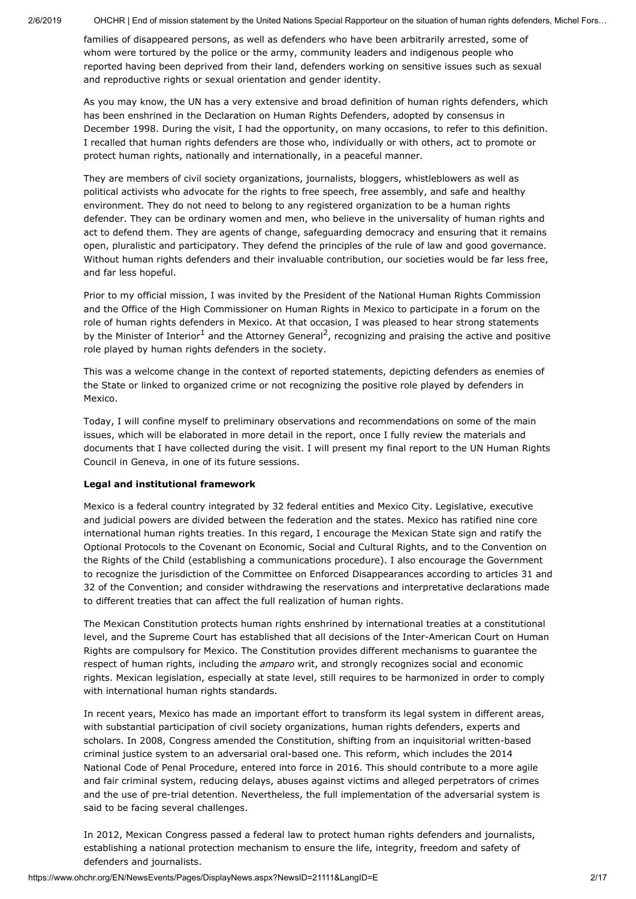families of disappeared persons, as well as defenders who have been arbitrarily arrested, some of whom were tortured by the police or the army, community leaders and indigenous people who reported having been deprived from their land, defenders working on sensitive issues such as sexual and reproductive rights or sexual orientation and gender identity.

As you may know, the UN has a very extensive and broad definition of human rights defenders, which has been enshrined in the Declaration on Human Rights Defenders, adopted by consensus in December 1998. During the visit, I had the opportunity, on many occasions, to refer to this definition. I recalled that human rights defenders are those who, individually or with others, act to promote or protect human rights, nationally and internationally, in a peaceful manner.

They are members of civil society organizations, journalists, bloggers, whistleblowers as well as political activists who advocate for the rights to free speech, free assembly, and safe and healthy environment. They do not need to belong to any registered organization to be a human rights defender. They can be ordinary women and men, who believe in the universality of human rights and act to defend them. They are agents of change, safeguarding democracy and ensuring that it remains open, pluralistic and participatory. They defend the principles of the rule of law and good governance. Without human rights defenders and their invaluable contribution, our societies would be far less free, and far less hopeful.

Prior to my official mission, I was invited by the President of the National Human Rights Commission and the Office of the High Commissioner on Human Rights in Mexico to participate in a forum on the role of human rights defenders in Mexico. At that occasion, I was pleased to hear strong statements by the Minister of Interior<sup>1</sup> and the Attorney General<sup>2</sup>, recognizing and praising the active and positive role played by human rights defenders in the society.

This was a welcome change in the context of reported statements, depicting defenders as enemies of the State or linked to organized crime or not recognizing the positive role played by defenders in Mexico.

Today, I will confine myself to preliminary observations and recommendations on some of the main issues, which will be elaborated in more detail in the report, once I fully review the materials and documents that I have collected during the visit. I will present my final report to the UN Human Rights Council in Geneva, in one of its future sessions.

### **Legal and institutional framework**

Mexico is a federal country integrated by 32 federal entities and Mexico City. Legislative, executive and judicial powers are divided between the federation and the states. Mexico has ratified nine core international human rights treaties. In this regard, I encourage the Mexican State sign and ratify the Optional Protocols to the Covenant on Economic, Social and Cultural Rights, and to the Convention on the Rights of the Child (establishing a communications procedure). I also encourage the Government to recognize the jurisdiction of the Committee on Enforced Disappearances according to articles 31 and 32 of the Convention; and consider withdrawing the reservations and interpretative declarations made to different treaties that can affect the full realization of human rights.

The Mexican Constitution protects human rights enshrined by international treaties at a constitutional level, and the Supreme Court has established that all decisions of the Inter-American Court on Human Rights are compulsory for Mexico. The Constitution provides different mechanisms to guarantee the respect of human rights, including the *amparo* writ, and strongly recognizes social and economic rights. Mexican legislation, especially at state level, still requires to be harmonized in order to comply with international human rights standards.

In recent years, Mexico has made an important effort to transform its legal system in different areas, with substantial participation of civil society organizations, human rights defenders, experts and scholars. In 2008, Congress amended the Constitution, shifting from an inquisitorial written-based criminal justice system to an adversarial oral-based one. This reform, which includes the 2014 National Code of Penal Procedure, entered into force in 2016. This should contribute to a more agile and fair criminal system, reducing delays, abuses against victims and alleged perpetrators of crimes and the use of pre-trial detention. Nevertheless, the full implementation of the adversarial system is said to be facing several challenges.

In 2012, Mexican Congress passed a federal law to protect human rights defenders and journalists, establishing a national protection mechanism to ensure the life, integrity, freedom and safety of defenders and journalists.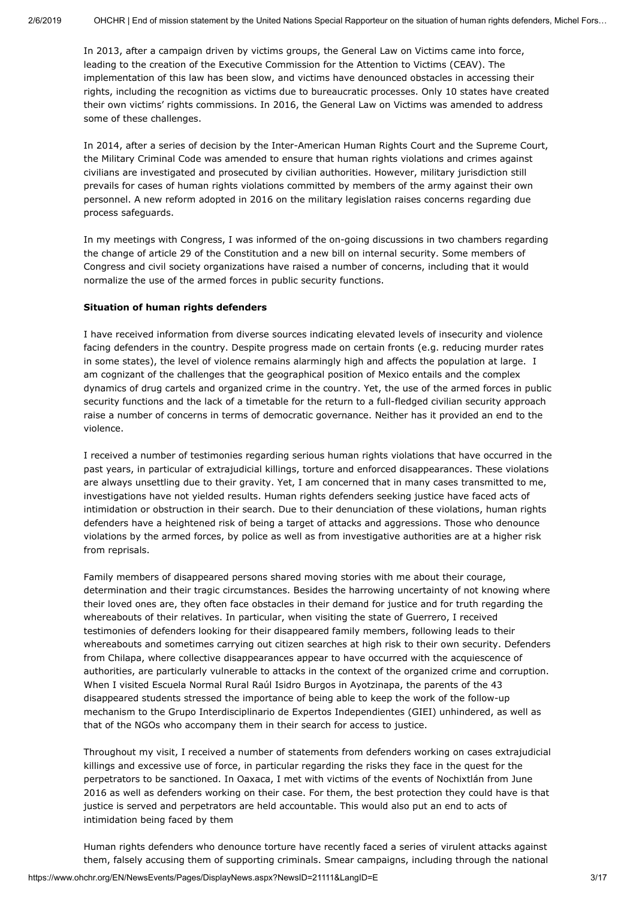In 2013, after a campaign driven by victims groups, the General Law on Victims came into force, leading to the creation of the Executive Commission for the Attention to Victims (CEAV). The implementation of this law has been slow, and victims have denounced obstacles in accessing their rights, including the recognition as victims due to bureaucratic processes. Only 10 states have created their own victims' rights commissions. In 2016, the General Law on Victims was amended to address some of these challenges.

In 2014, after a series of decision by the Inter-American Human Rights Court and the Supreme Court, the Military Criminal Code was amended to ensure that human rights violations and crimes against civilians are investigated and prosecuted by civilian authorities. However, military jurisdiction still prevails for cases of human rights violations committed by members of the army against their own personnel. A new reform adopted in 2016 on the military legislation raises concerns regarding due process safeguards.

In my meetings with Congress, I was informed of the on-going discussions in two chambers regarding the change of article 29 of the Constitution and a new bill on internal security. Some members of Congress and civil society organizations have raised a number of concerns, including that it would normalize the use of the armed forces in public security functions.

#### **Situation of human rights defenders**

I have received information from diverse sources indicating elevated levels of insecurity and violence facing defenders in the country. Despite progress made on certain fronts (e.g. reducing murder rates in some states), the level of violence remains alarmingly high and affects the population at large. I am cognizant of the challenges that the geographical position of Mexico entails and the complex dynamics of drug cartels and organized crime in the country. Yet, the use of the armed forces in public security functions and the lack of a timetable for the return to a full-fledged civilian security approach raise a number of concerns in terms of democratic governance. Neither has it provided an end to the violence.

I received a number of testimonies regarding serious human rights violations that have occurred in the past years, in particular of extrajudicial killings, torture and enforced disappearances. These violations are always unsettling due to their gravity. Yet, I am concerned that in many cases transmitted to me, investigations have not yielded results. Human rights defenders seeking justice have faced acts of intimidation or obstruction in their search. Due to their denunciation of these violations, human rights defenders have a heightened risk of being a target of attacks and aggressions. Those who denounce violations by the armed forces, by police as well as from investigative authorities are at a higher risk from reprisals.

Family members of disappeared persons shared moving stories with me about their courage, determination and their tragic circumstances. Besides the harrowing uncertainty of not knowing where their loved ones are, they often face obstacles in their demand for justice and for truth regarding the whereabouts of their relatives. In particular, when visiting the state of Guerrero, I received testimonies of defenders looking for their disappeared family members, following leads to their whereabouts and sometimes carrying out citizen searches at high risk to their own security. Defenders from Chilapa, where collective disappearances appear to have occurred with the acquiescence of authorities, are particularly vulnerable to attacks in the context of the organized crime and corruption. When I visited Escuela Normal Rural Raúl Isidro Burgos in Ayotzinapa, the parents of the 43 disappeared students stressed the importance of being able to keep the work of the follow-up mechanism to the Grupo Interdisciplinario de Expertos Independientes (GIEI) unhindered, as well as that of the NGOs who accompany them in their search for access to justice.

Throughout my visit, I received a number of statements from defenders working on cases extrajudicial killings and excessive use of force, in particular regarding the risks they face in the quest for the perpetrators to be sanctioned. In Oaxaca, I met with victims of the events of Nochixtlán from June 2016 as well as defenders working on their case. For them, the best protection they could have is that justice is served and perpetrators are held accountable. This would also put an end to acts of intimidation being faced by them

Human rights defenders who denounce torture have recently faced a series of virulent attacks against them, falsely accusing them of supporting criminals. Smear campaigns, including through the national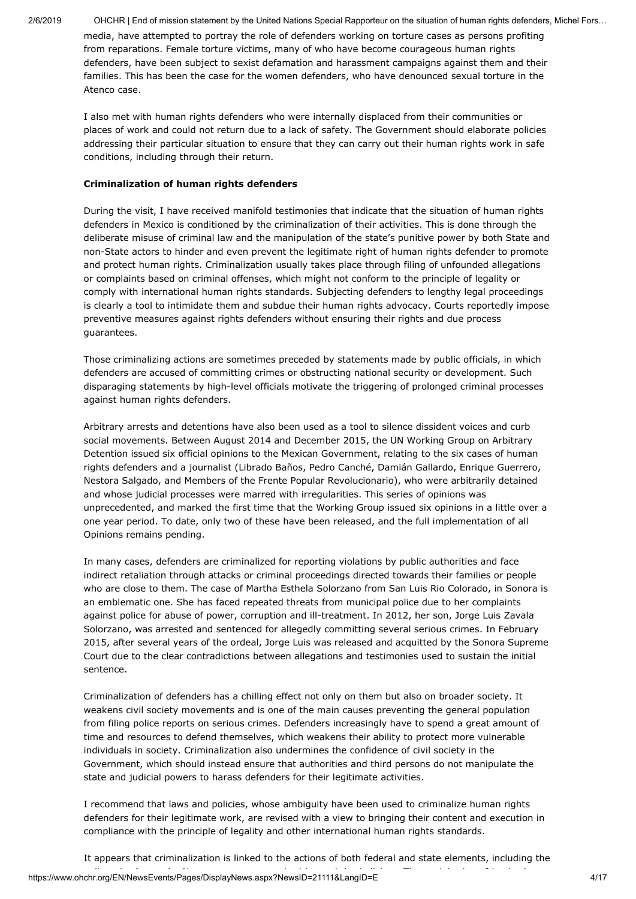media, have attempted to portray the role of defenders working on torture cases as persons profiting from reparations. Female torture victims, many of who have become courageous human rights defenders, have been subject to sexist defamation and harassment campaigns against them and their families. This has been the case for the women defenders, who have denounced sexual torture in the Atenco case.

I also met with human rights defenders who were internally displaced from their communities or places of work and could not return due to a lack of safety. The Government should elaborate policies addressing their particular situation to ensure that they can carry out their human rights work in safe conditions, including through their return.

### **Criminalization of human rights defenders**

During the visit, I have received manifold testimonies that indicate that the situation of human rights defenders in Mexico is conditioned by the criminalization of their activities. This is done through the deliberate misuse of criminal law and the manipulation of the state's punitive power by both State and non-State actors to hinder and even prevent the legitimate right of human rights defender to promote and protect human rights. Criminalization usually takes place through filing of unfounded allegations or complaints based on criminal offenses, which might not conform to the principle of legality or comply with international human rights standards. Subjecting defenders to lengthy legal proceedings is clearly a tool to intimidate them and subdue their human rights advocacy. Courts reportedly impose preventive measures against rights defenders without ensuring their rights and due process guarantees.

Those criminalizing actions are sometimes preceded by statements made by public officials, in which defenders are accused of committing crimes or obstructing national security or development. Such disparaging statements by high-level officials motivate the triggering of prolonged criminal processes against human rights defenders.

Arbitrary arrests and detentions have also been used as a tool to silence dissident voices and curb social movements. Between August 2014 and December 2015, the UN Working Group on Arbitrary Detention issued six official opinions to the Mexican Government, relating to the six cases of human rights defenders and a journalist (Librado Baños, Pedro Canché, Damián Gallardo, Enrique Guerrero, Nestora Salgado, and Members of the Frente Popular Revolucionario), who were arbitrarily detained and whose judicial processes were marred with irregularities. This series of opinions was unprecedented, and marked the first time that the Working Group issued six opinions in a little over a one year period. To date, only two of these have been released, and the full implementation of all Opinions remains pending.

In many cases, defenders are criminalized for reporting violations by public authorities and face indirect retaliation through attacks or criminal proceedings directed towards their families or people who are close to them. The case of Martha Esthela Solorzano from San Luis Rio Colorado, in Sonora is an emblematic one. She has faced repeated threats from municipal police due to her complaints against police for abuse of power, corruption and ill-treatment. In 2012, her son, Jorge Luis Zavala Solorzano, was arrested and sentenced for allegedly committing several serious crimes. In February 2015, after several years of the ordeal, Jorge Luis was released and acquitted by the Sonora Supreme Court due to the clear contradictions between allegations and testimonies used to sustain the initial sentence.

Criminalization of defenders has a chilling effect not only on them but also on broader society. It weakens civil society movements and is one of the main causes preventing the general population from filing police reports on serious crimes. Defenders increasingly have to spend a great amount of time and resources to defend themselves, which weakens their ability to protect more vulnerable individuals in society. Criminalization also undermines the confidence of civil society in the Government, which should instead ensure that authorities and third persons do not manipulate the state and judicial powers to harass defenders for their legitimate activities.

I recommend that laws and policies, whose ambiguity have been used to criminalize human rights defenders for their legitimate work, are revised with a view to bringing their content and execution in compliance with the principle of legality and other international human rights standards.

https://www.ohchr.org/EN/NewsEvents/Pages/DisplayNews.aspx?NewsID=21111&LangID=E 4/17 li h A h N h i i d h j di i Th l i i f j i bIt appears that criminalization is linked to the actions of both federal and state elements, including the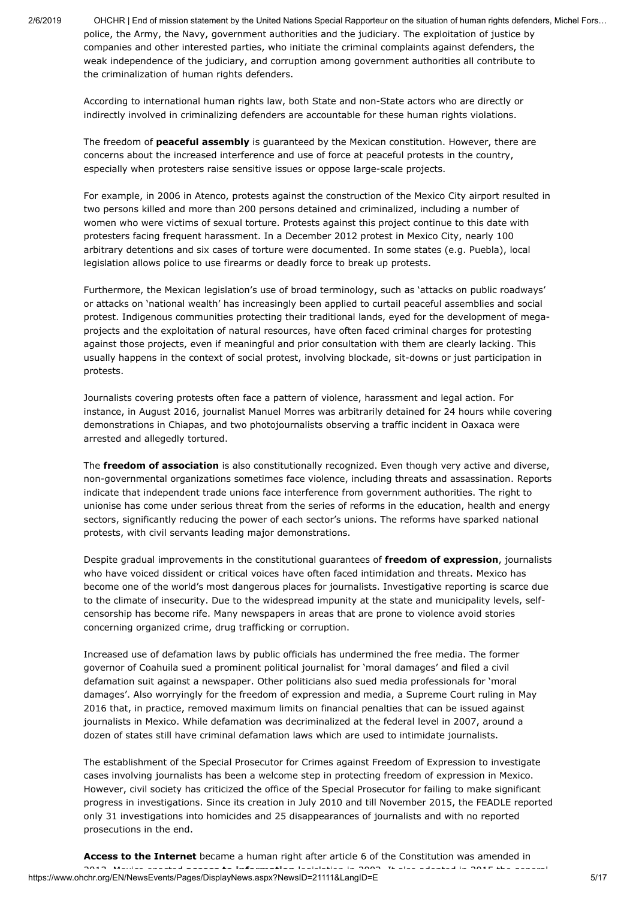2/6/2019 OHCHR | End of mission statement by the United Nations Special Rapporteur on the situation of human rights defenders, Michel Fors… police, the Army, the Navy, government authorities and the judiciary. The exploitation of justice by companies and other interested parties, who initiate the criminal complaints against defenders, the weak independence of the judiciary, and corruption among government authorities all contribute to the criminalization of human rights defenders.

According to international human rights law, both State and non-State actors who are directly or indirectly involved in criminalizing defenders are accountable for these human rights violations.

The freedom of **peaceful assembly** is guaranteed by the Mexican constitution. However, there are concerns about the increased interference and use of force at peaceful protests in the country, especially when protesters raise sensitive issues or oppose large-scale projects.

For example, in 2006 in Atenco, protests against the construction of the Mexico City airport resulted in two persons killed and more than 200 persons detained and criminalized, including a number of women who were victims of sexual torture. Protests against this project continue to this date with protesters facing frequent harassment. In a December 2012 protest in Mexico City, nearly 100 arbitrary detentions and six cases of torture were documented. In some states (e.g. Puebla), local legislation allows police to use firearms or deadly force to break up protests.

Furthermore, the Mexican legislation's use of broad terminology, such as 'attacks on public roadways' or attacks on 'national wealth' has increasingly been applied to curtail peaceful assemblies and social protest. Indigenous communities protecting their traditional lands, eyed for the development of megaprojects and the exploitation of natural resources, have often faced criminal charges for protesting against those projects, even if meaningful and prior consultation with them are clearly lacking. This usually happens in the context of social protest, involving blockade, sit-downs or just participation in protests.

Journalists covering protests often face a pattern of violence, harassment and legal action. For instance, in August 2016, journalist Manuel Morres was arbitrarily detained for 24 hours while covering demonstrations in Chiapas, and two photojournalists observing a traffic incident in Oaxaca were arrested and allegedly tortured.

The **freedom of association** is also constitutionally recognized. Even though very active and diverse, non-governmental organizations sometimes face violence, including threats and assassination. Reports indicate that independent trade unions face interference from government authorities. The right to unionise has come under serious threat from the series of reforms in the education, health and energy sectors, significantly reducing the power of each sector's unions. The reforms have sparked national protests, with civil servants leading major demonstrations.

Despite gradual improvements in the constitutional guarantees of **freedom of expression**, journalists who have voiced dissident or critical voices have often faced intimidation and threats. Mexico has become one of the world's most dangerous places for journalists. Investigative reporting is scarce due to the climate of insecurity. Due to the widespread impunity at the state and municipality levels, selfcensorship has become rife. Many newspapers in areas that are prone to violence avoid stories concerning organized crime, drug trafficking or corruption.

Increased use of defamation laws by public officials has undermined the free media. The former governor of Coahuila sued a prominent political journalist for 'moral damages' and filed a civil defamation suit against a newspaper. Other politicians also sued media professionals for 'moral damages'. Also worryingly for the freedom of expression and media, a Supreme Court ruling in May 2016 that, in practice, removed maximum limits on financial penalties that can be issued against journalists in Mexico. While defamation was decriminalized at the federal level in 2007, around a dozen of states still have criminal defamation laws which are used to intimidate journalists.

The establishment of the Special Prosecutor for Crimes against Freedom of Expression to investigate cases involving journalists has been a welcome step in protecting freedom of expression in Mexico. However, civil society has criticized the office of the Special Prosecutor for failing to make significant progress in investigations. Since its creation in July 2010 and till November 2015, the FEADLE reported only 31 investigations into homicides and 25 disappearances of journalists and with no reported prosecutions in the end.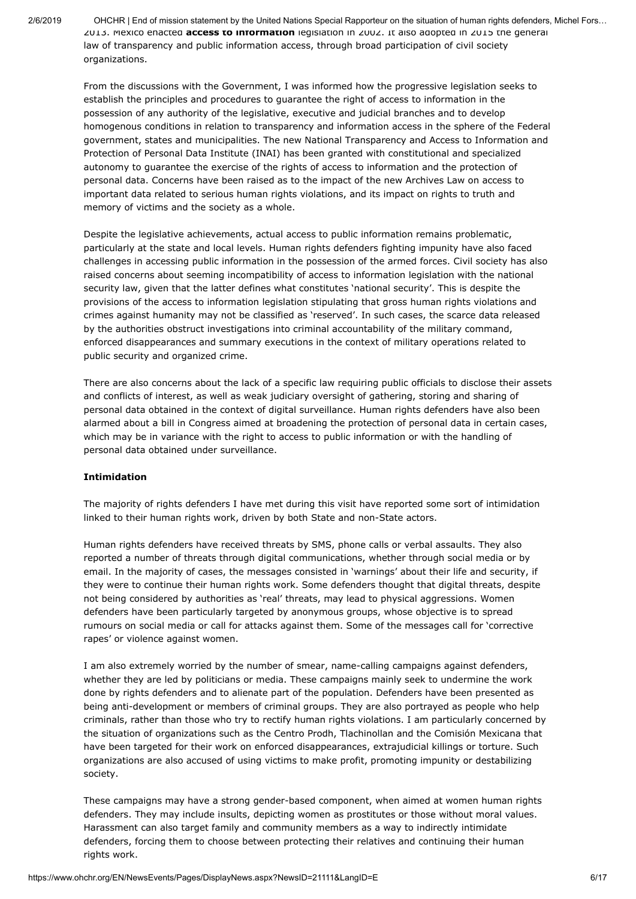2/6/2019 OHCHR | End of mission statement by the United Nations Special Rapporteur on the situation of human rights defenders, Michel Fors… 2013. Mexico enacted **access to information** legislation in 2002. It also adopted in 2015 the general law of transparency and public information access, through broad participation of civil society organizations.

From the discussions with the Government, I was informed how the progressive legislation seeks to establish the principles and procedures to guarantee the right of access to information in the possession of any authority of the legislative, executive and judicial branches and to develop homogenous conditions in relation to transparency and information access in the sphere of the Federal government, states and municipalities. The new National Transparency and Access to Information and Protection of Personal Data Institute (INAI) has been granted with constitutional and specialized autonomy to guarantee the exercise of the rights of access to information and the protection of personal data. Concerns have been raised as to the impact of the new Archives Law on access to important data related to serious human rights violations, and its impact on rights to truth and memory of victims and the society as a whole.

Despite the legislative achievements, actual access to public information remains problematic, particularly at the state and local levels. Human rights defenders fighting impunity have also faced challenges in accessing public information in the possession of the armed forces. Civil society has also raised concerns about seeming incompatibility of access to information legislation with the national security law, given that the latter defines what constitutes 'national security'. This is despite the provisions of the access to information legislation stipulating that gross human rights violations and crimes against humanity may not be classified as 'reserved'. In such cases, the scarce data released by the authorities obstruct investigations into criminal accountability of the military command, enforced disappearances and summary executions in the context of military operations related to public security and organized crime.

There are also concerns about the lack of a specific law requiring public officials to disclose their assets and conflicts of interest, as well as weak judiciary oversight of gathering, storing and sharing of personal data obtained in the context of digital surveillance. Human rights defenders have also been alarmed about a bill in Congress aimed at broadening the protection of personal data in certain cases, which may be in variance with the right to access to public information or with the handling of personal data obtained under surveillance.

### **Intimidation**

The majority of rights defenders I have met during this visit have reported some sort of intimidation linked to their human rights work, driven by both State and non-State actors.

Human rights defenders have received threats by SMS, phone calls or verbal assaults. They also reported a number of threats through digital communications, whether through social media or by email. In the majority of cases, the messages consisted in 'warnings' about their life and security, if they were to continue their human rights work. Some defenders thought that digital threats, despite not being considered by authorities as 'real' threats, may lead to physical aggressions. Women defenders have been particularly targeted by anonymous groups, whose objective is to spread rumours on social media or call for attacks against them. Some of the messages call for 'corrective rapes' or violence against women.

I am also extremely worried by the number of smear, name-calling campaigns against defenders, whether they are led by politicians or media. These campaigns mainly seek to undermine the work done by rights defenders and to alienate part of the population. Defenders have been presented as being anti-development or members of criminal groups. They are also portrayed as people who help criminals, rather than those who try to rectify human rights violations. I am particularly concerned by the situation of organizations such as the Centro Prodh, Tlachinollan and the Comisión Mexicana that have been targeted for their work on enforced disappearances, extrajudicial killings or torture. Such organizations are also accused of using victims to make profit, promoting impunity or destabilizing society.

These campaigns may have a strong gender-based component, when aimed at women human rights defenders. They may include insults, depicting women as prostitutes or those without moral values. Harassment can also target family and community members as a way to indirectly intimidate defenders, forcing them to choose between protecting their relatives and continuing their human rights work.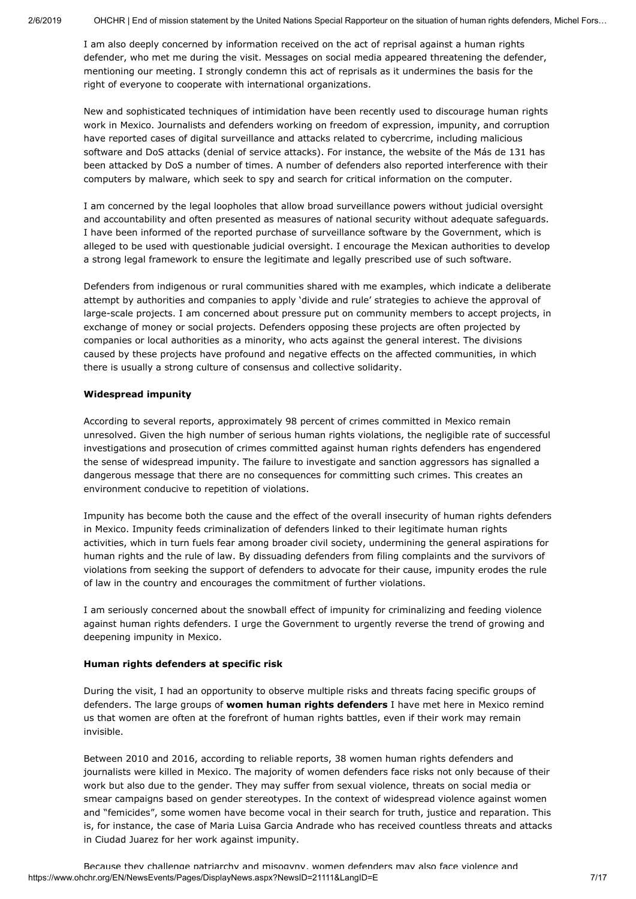I am also deeply concerned by information received on the act of reprisal against a human rights defender, who met me during the visit. Messages on social media appeared threatening the defender, mentioning our meeting. I strongly condemn this act of reprisals as it undermines the basis for the right of everyone to cooperate with international organizations.

New and sophisticated techniques of intimidation have been recently used to discourage human rights work in Mexico. Journalists and defenders working on freedom of expression, impunity, and corruption have reported cases of digital surveillance and attacks related to cybercrime, including malicious software and DoS attacks (denial of service attacks). For instance, the website of the Más de 131 has been attacked by DoS a number of times. A number of defenders also reported interference with their computers by malware, which seek to spy and search for critical information on the computer.

I am concerned by the legal loopholes that allow broad surveillance powers without judicial oversight and accountability and often presented as measures of national security without adequate safeguards. I have been informed of the reported purchase of surveillance software by the Government, which is alleged to be used with questionable judicial oversight. I encourage the Mexican authorities to develop a strong legal framework to ensure the legitimate and legally prescribed use of such software.

Defenders from indigenous or rural communities shared with me examples, which indicate a deliberate attempt by authorities and companies to apply 'divide and rule' strategies to achieve the approval of large-scale projects. I am concerned about pressure put on community members to accept projects, in exchange of money or social projects. Defenders opposing these projects are often projected by companies or local authorities as a minority, who acts against the general interest. The divisions caused by these projects have profound and negative effects on the affected communities, in which there is usually a strong culture of consensus and collective solidarity.

### **Widespread impunity**

According to several reports, approximately 98 percent of crimes committed in Mexico remain unresolved. Given the high number of serious human rights violations, the negligible rate of successful investigations and prosecution of crimes committed against human rights defenders has engendered the sense of widespread impunity. The failure to investigate and sanction aggressors has signalled a dangerous message that there are no consequences for committing such crimes. This creates an environment conducive to repetition of violations.

Impunity has become both the cause and the effect of the overall insecurity of human rights defenders in Mexico. Impunity feeds criminalization of defenders linked to their legitimate human rights activities, which in turn fuels fear among broader civil society, undermining the general aspirations for human rights and the rule of law. By dissuading defenders from filing complaints and the survivors of violations from seeking the support of defenders to advocate for their cause, impunity erodes the rule of law in the country and encourages the commitment of further violations.

I am seriously concerned about the snowball effect of impunity for criminalizing and feeding violence against human rights defenders. I urge the Government to urgently reverse the trend of growing and deepening impunity in Mexico.

### **Human rights defenders at specific risk**

During the visit, I had an opportunity to observe multiple risks and threats facing specific groups of defenders. The large groups of **women human rights defenders** I have met here in Mexico remind us that women are often at the forefront of human rights battles, even if their work may remain invisible.

Between 2010 and 2016, according to reliable reports, 38 women human rights defenders and journalists were killed in Mexico. The majority of women defenders face risks not only because of their work but also due to the gender. They may suffer from sexual violence, threats on social media or smear campaigns based on gender stereotypes. In the context of widespread violence against women and "femicides", some women have become vocal in their search for truth, justice and reparation. This is, for instance, the case of Maria Luisa Garcia Andrade who has received countless threats and attacks in Ciudad Juarez for her work against impunity.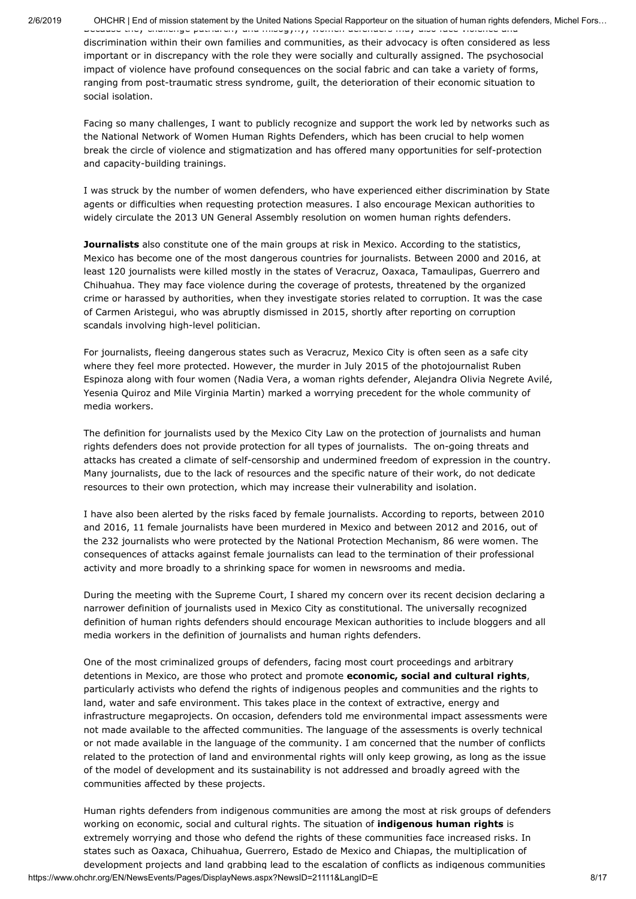Because they challenge patriarchy and misogyny, women defenders may also face violence and discrimination within their own families and communities, as their advocacy is often considered as less important or in discrepancy with the role they were socially and culturally assigned. The psychosocial impact of violence have profound consequences on the social fabric and can take a variety of forms, ranging from post-traumatic stress syndrome, guilt, the deterioration of their economic situation to social isolation.

Facing so many challenges, I want to publicly recognize and support the work led by networks such as the National Network of Women Human Rights Defenders, which has been crucial to help women break the circle of violence and stigmatization and has offered many opportunities for self-protection and capacity-building trainings.

I was struck by the number of women defenders, who have experienced either discrimination by State agents or difficulties when requesting protection measures. I also encourage Mexican authorities to widely circulate the 2013 UN General Assembly resolution on women human rights defenders.

**Journalists** also constitute one of the main groups at risk in Mexico. According to the statistics, Mexico has become one of the most dangerous countries for journalists. Between 2000 and 2016, at least 120 journalists were killed mostly in the states of Veracruz, Oaxaca, Tamaulipas, Guerrero and Chihuahua. They may face violence during the coverage of protests, threatened by the organized crime or harassed by authorities, when they investigate stories related to corruption. It was the case of Carmen Aristegui, who was abruptly dismissed in 2015, shortly after reporting on corruption scandals involving high-level politician.

For journalists, fleeing dangerous states such as Veracruz, Mexico City is often seen as a safe city where they feel more protected. However, the murder in July 2015 of the photojournalist Ruben Espinoza along with four women (Nadia Vera, a woman rights defender, Alejandra Olivia Negrete Avilé, Yesenia Quiroz and Mile Virginia Martin) marked a worrying precedent for the whole community of media workers.

The definition for journalists used by the Mexico City Law on the protection of journalists and human rights defenders does not provide protection for all types of journalists. The on-going threats and attacks has created a climate of self-censorship and undermined freedom of expression in the country. Many journalists, due to the lack of resources and the specific nature of their work, do not dedicate resources to their own protection, which may increase their vulnerability and isolation.

I have also been alerted by the risks faced by female journalists. According to reports, between 2010 and 2016, 11 female journalists have been murdered in Mexico and between 2012 and 2016, out of the 232 journalists who were protected by the National Protection Mechanism, 86 were women. The consequences of attacks against female journalists can lead to the termination of their professional activity and more broadly to a shrinking space for women in newsrooms and media.

During the meeting with the Supreme Court, I shared my concern over its recent decision declaring a narrower definition of journalists used in Mexico City as constitutional. The universally recognized definition of human rights defenders should encourage Mexican authorities to include bloggers and all media workers in the definition of journalists and human rights defenders.

One of the most criminalized groups of defenders, facing most court proceedings and arbitrary detentions in Mexico, are those who protect and promote **economic, social and cultural rights**, particularly activists who defend the rights of indigenous peoples and communities and the rights to land, water and safe environment. This takes place in the context of extractive, energy and infrastructure megaprojects. On occasion, defenders told me environmental impact assessments were not made available to the affected communities. The language of the assessments is overly technical or not made available in the language of the community. I am concerned that the number of conflicts related to the protection of land and environmental rights will only keep growing, as long as the issue of the model of development and its sustainability is not addressed and broadly agreed with the communities affected by these projects.

Human rights defenders from indigenous communities are among the most at risk groups of defenders working on economic, social and cultural rights. The situation of **indigenous human rights** is extremely worrying and those who defend the rights of these communities face increased risks. In states such as Oaxaca, Chihuahua, Guerrero, Estado de Mexico and Chiapas, the multiplication of development projects and land grabbing lead to the escalation of conflicts as indigenous communities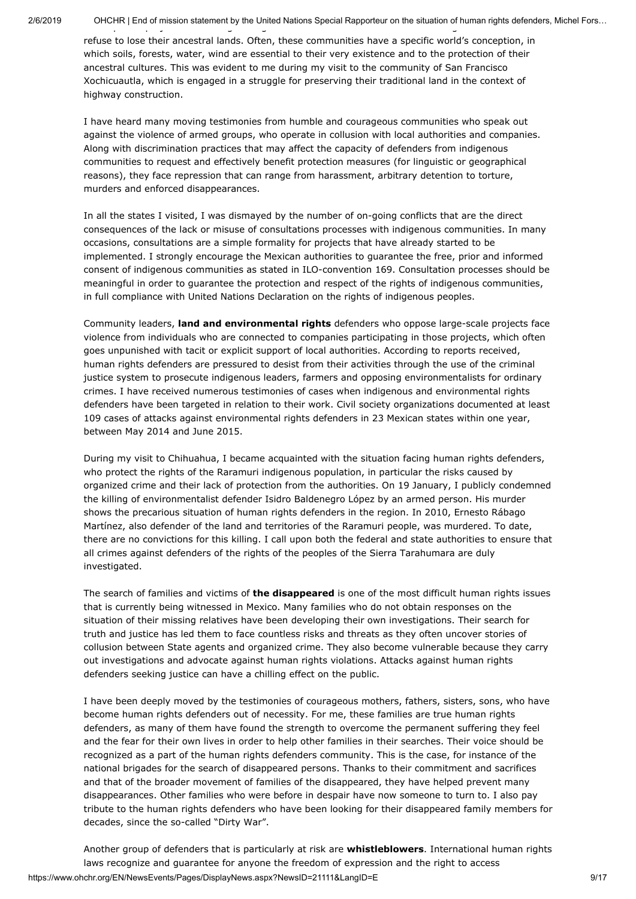refuse to lose their ancestral lands. Often, these communities have a specific world's conception, in which soils, forests, water, wind are essential to their very existence and to the protection of their ancestral cultures. This was evident to me during my visit to the community of San Francisco Xochicuautla, which is engaged in a struggle for preserving their traditional land in the context of highway construction.

I have heard many moving testimonies from humble and courageous communities who speak out against the violence of armed groups, who operate in collusion with local authorities and companies. Along with discrimination practices that may affect the capacity of defenders from indigenous communities to request and effectively benefit protection measures (for linguistic or geographical reasons), they face repression that can range from harassment, arbitrary detention to torture, murders and enforced disappearances.

In all the states I visited, I was dismayed by the number of on-going conflicts that are the direct consequences of the lack or misuse of consultations processes with indigenous communities. In many occasions, consultations are a simple formality for projects that have already started to be implemented. I strongly encourage the Mexican authorities to guarantee the free, prior and informed consent of indigenous communities as stated in ILO-convention 169. Consultation processes should be meaningful in order to guarantee the protection and respect of the rights of indigenous communities, in full compliance with United Nations Declaration on the rights of indigenous peoples.

Community leaders, **land and environmental rights** defenders who oppose large-scale projects face violence from individuals who are connected to companies participating in those projects, which often goes unpunished with tacit or explicit support of local authorities. According to reports received, human rights defenders are pressured to desist from their activities through the use of the criminal justice system to prosecute indigenous leaders, farmers and opposing environmentalists for ordinary crimes. I have received numerous testimonies of cases when indigenous and environmental rights defenders have been targeted in relation to their work. Civil society organizations documented at least 109 cases of attacks against environmental rights defenders in 23 Mexican states within one year, between May 2014 and June 2015.

During my visit to Chihuahua, I became acquainted with the situation facing human rights defenders, who protect the rights of the Raramuri indigenous population, in particular the risks caused by organized crime and their lack of protection from the authorities. On 19 January, I publicly condemned the killing of environmentalist defender Isidro Baldenegro López by an armed person. His murder shows the precarious situation of human rights defenders in the region. In 2010, Ernesto Rábago Martínez, also defender of the land and territories of the Raramuri people, was murdered. To date, there are no convictions for this killing. I call upon both the federal and state authorities to ensure that all crimes against defenders of the rights of the peoples of the Sierra Tarahumara are duly investigated.

The search of families and victims of **the disappeared** is one of the most difficult human rights issues that is currently being witnessed in Mexico. Many families who do not obtain responses on the situation of their missing relatives have been developing their own investigations. Their search for truth and justice has led them to face countless risks and threats as they often uncover stories of collusion between State agents and organized crime. They also become vulnerable because they carry out investigations and advocate against human rights violations. Attacks against human rights defenders seeking justice can have a chilling effect on the public.

I have been deeply moved by the testimonies of courageous mothers, fathers, sisters, sons, who have become human rights defenders out of necessity. For me, these families are true human rights defenders, as many of them have found the strength to overcome the permanent suffering they feel and the fear for their own lives in order to help other families in their searches. Their voice should be recognized as a part of the human rights defenders community. This is the case, for instance of the national brigades for the search of disappeared persons. Thanks to their commitment and sacrifices and that of the broader movement of families of the disappeared, they have helped prevent many disappearances. Other families who were before in despair have now someone to turn to. I also pay tribute to the human rights defenders who have been looking for their disappeared family members for decades, since the so-called "Dirty War".

https://www.ohchr.org/EN/NewsEvents/Pages/DisplayNews.aspx?NewsID=21111&LangID=E 9/17 Another group of defenders that is particularly at risk are **whistleblowers**. International human rights laws recognize and guarantee for anyone the freedom of expression and the right to access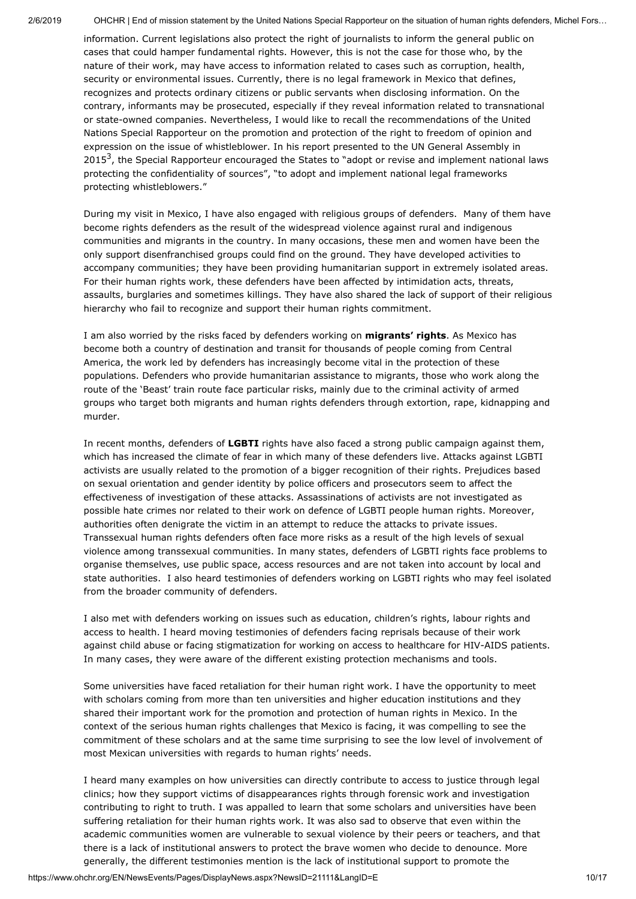information. Current legislations also protect the right of journalists to inform the general public on cases that could hamper fundamental rights. However, this is not the case for those who, by the nature of their work, may have access to information related to cases such as corruption, health, security or environmental issues. Currently, there is no legal framework in Mexico that defines, recognizes and protects ordinary citizens or public servants when disclosing information. On the contrary, informants may be prosecuted, especially if they reveal information related to transnational or state-owned companies. Nevertheless, I would like to recall the recommendations of the United Nations Special Rapporteur on the promotion and protection of the right to freedom of opinion and expression on the issue of whistleblower. In his report presented to the UN General Assembly in 2015<sup>3</sup>, the Special Rapporteur encouraged the States to "adopt or revise and implement national laws protecting the confidentiality of sources", "to adopt and implement national legal frameworks protecting whistleblowers."

During my visit in Mexico, I have also engaged with religious groups of defenders. Many of them have become rights defenders as the result of the widespread violence against rural and indigenous communities and migrants in the country. In many occasions, these men and women have been the only support disenfranchised groups could find on the ground. They have developed activities to accompany communities; they have been providing humanitarian support in extremely isolated areas. For their human rights work, these defenders have been affected by intimidation acts, threats, assaults, burglaries and sometimes killings. They have also shared the lack of support of their religious hierarchy who fail to recognize and support their human rights commitment.

I am also worried by the risks faced by defenders working on **migrants' rights**. As Mexico has become both a country of destination and transit for thousands of people coming from Central America, the work led by defenders has increasingly become vital in the protection of these populations. Defenders who provide humanitarian assistance to migrants, those who work along the route of the 'Beast' train route face particular risks, mainly due to the criminal activity of armed groups who target both migrants and human rights defenders through extortion, rape, kidnapping and murder.

In recent months, defenders of **LGBTI** rights have also faced a strong public campaign against them, which has increased the climate of fear in which many of these defenders live. Attacks against LGBTI activists are usually related to the promotion of a bigger recognition of their rights. Prejudices based on sexual orientation and gender identity by police officers and prosecutors seem to affect the effectiveness of investigation of these attacks. Assassinations of activists are not investigated as possible hate crimes nor related to their work on defence of LGBTI people human rights. Moreover, authorities often denigrate the victim in an attempt to reduce the attacks to private issues. Transsexual human rights defenders often face more risks as a result of the high levels of sexual violence among transsexual communities. In many states, defenders of LGBTI rights face problems to organise themselves, use public space, access resources and are not taken into account by local and state authorities. I also heard testimonies of defenders working on LGBTI rights who may feel isolated from the broader community of defenders.

I also met with defenders working on issues such as education, children's rights, labour rights and access to health. I heard moving testimonies of defenders facing reprisals because of their work against child abuse or facing stigmatization for working on access to healthcare for HIV-AIDS patients. In many cases, they were aware of the different existing protection mechanisms and tools.

Some universities have faced retaliation for their human right work. I have the opportunity to meet with scholars coming from more than ten universities and higher education institutions and they shared their important work for the promotion and protection of human rights in Mexico. In the context of the serious human rights challenges that Mexico is facing, it was compelling to see the commitment of these scholars and at the same time surprising to see the low level of involvement of most Mexican universities with regards to human rights' needs.

I heard many examples on how universities can directly contribute to access to justice through legal clinics; how they support victims of disappearances rights through forensic work and investigation contributing to right to truth. I was appalled to learn that some scholars and universities have been suffering retaliation for their human rights work. It was also sad to observe that even within the academic communities women are vulnerable to sexual violence by their peers or teachers, and that there is a lack of institutional answers to protect the brave women who decide to denounce. More generally, the different testimonies mention is the lack of institutional support to promote the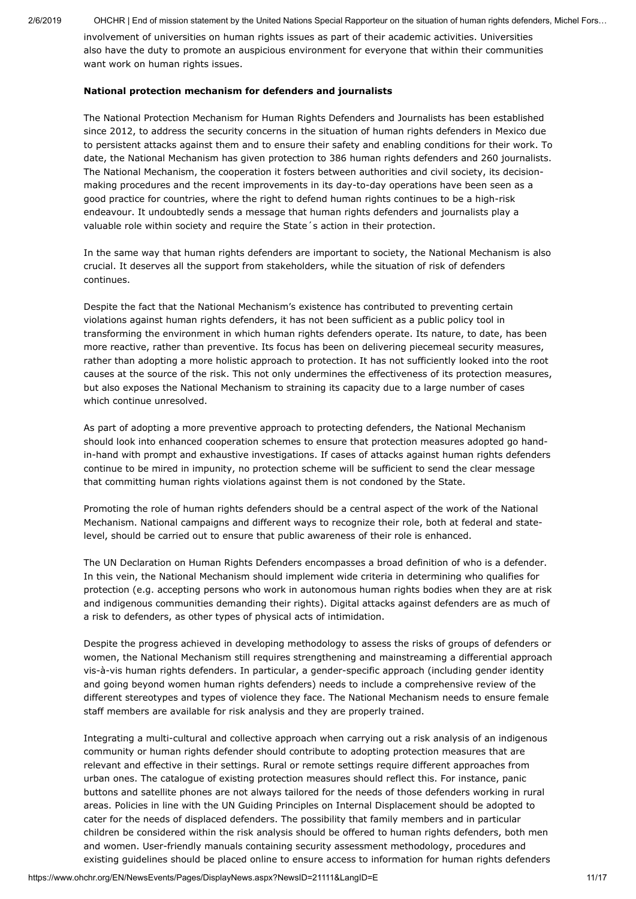involvement of universities on human rights issues as part of their academic activities. Universities also have the duty to promote an auspicious environment for everyone that within their communities want work on human rights issues.

### **National protection mechanism for defenders and journalists**

The National Protection Mechanism for Human Rights Defenders and Journalists has been established since 2012, to address the security concerns in the situation of human rights defenders in Mexico due to persistent attacks against them and to ensure their safety and enabling conditions for their work. To date, the National Mechanism has given protection to 386 human rights defenders and 260 journalists. The National Mechanism, the cooperation it fosters between authorities and civil society, its decisionmaking procedures and the recent improvements in its day-to-day operations have been seen as a good practice for countries, where the right to defend human rights continues to be a high-risk endeavour. It undoubtedly sends a message that human rights defenders and journalists play a valuable role within society and require the State´s action in their protection.

In the same way that human rights defenders are important to society, the National Mechanism is also crucial. It deserves all the support from stakeholders, while the situation of risk of defenders continues.

Despite the fact that the National Mechanism's existence has contributed to preventing certain violations against human rights defenders, it has not been sufficient as a public policy tool in transforming the environment in which human rights defenders operate. Its nature, to date, has been more reactive, rather than preventive. Its focus has been on delivering piecemeal security measures, rather than adopting a more holistic approach to protection. It has not sufficiently looked into the root causes at the source of the risk. This not only undermines the effectiveness of its protection measures, but also exposes the National Mechanism to straining its capacity due to a large number of cases which continue unresolved.

As part of adopting a more preventive approach to protecting defenders, the National Mechanism should look into enhanced cooperation schemes to ensure that protection measures adopted go handin-hand with prompt and exhaustive investigations. If cases of attacks against human rights defenders continue to be mired in impunity, no protection scheme will be sufficient to send the clear message that committing human rights violations against them is not condoned by the State.

Promoting the role of human rights defenders should be a central aspect of the work of the National Mechanism. National campaigns and different ways to recognize their role, both at federal and statelevel, should be carried out to ensure that public awareness of their role is enhanced.

The UN Declaration on Human Rights Defenders encompasses a broad definition of who is a defender. In this vein, the National Mechanism should implement wide criteria in determining who qualifies for protection (e.g. accepting persons who work in autonomous human rights bodies when they are at risk and indigenous communities demanding their rights). Digital attacks against defenders are as much of a risk to defenders, as other types of physical acts of intimidation.

Despite the progress achieved in developing methodology to assess the risks of groups of defenders or women, the National Mechanism still requires strengthening and mainstreaming a differential approach vis-à-vis human rights defenders. In particular, a gender-specific approach (including gender identity and going beyond women human rights defenders) needs to include a comprehensive review of the different stereotypes and types of violence they face. The National Mechanism needs to ensure female staff members are available for risk analysis and they are properly trained.

Integrating a multi-cultural and collective approach when carrying out a risk analysis of an indigenous community or human rights defender should contribute to adopting protection measures that are relevant and effective in their settings. Rural or remote settings require different approaches from urban ones. The catalogue of existing protection measures should reflect this. For instance, panic buttons and satellite phones are not always tailored for the needs of those defenders working in rural areas. Policies in line with the UN Guiding Principles on Internal Displacement should be adopted to cater for the needs of displaced defenders. The possibility that family members and in particular children be considered within the risk analysis should be offered to human rights defenders, both men and women. User-friendly manuals containing security assessment methodology, procedures and existing guidelines should be placed online to ensure access to information for human rights defenders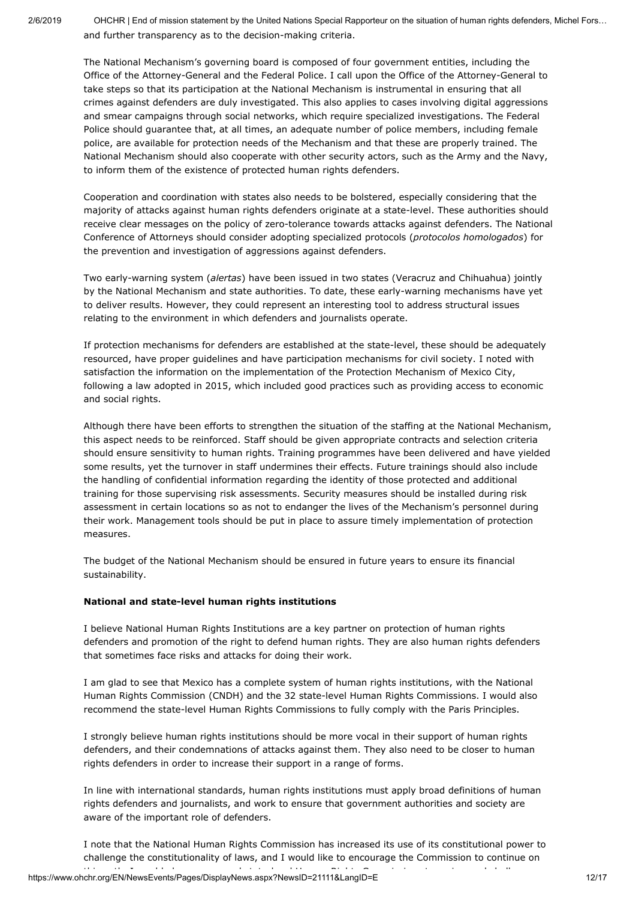2/6/2019 OHCHR | End of mission statement by the United Nations Special Rapporteur on the situation of human rights defenders, Michel Fors… and further transparency as to the decision-making criteria.

The National Mechanism's governing board is composed of four government entities, including the Office of the Attorney-General and the Federal Police. I call upon the Office of the Attorney-General to take steps so that its participation at the National Mechanism is instrumental in ensuring that all crimes against defenders are duly investigated. This also applies to cases involving digital aggressions and smear campaigns through social networks, which require specialized investigations. The Federal Police should guarantee that, at all times, an adequate number of police members, including female police, are available for protection needs of the Mechanism and that these are properly trained. The National Mechanism should also cooperate with other security actors, such as the Army and the Navy, to inform them of the existence of protected human rights defenders.

Cooperation and coordination with states also needs to be bolstered, especially considering that the majority of attacks against human rights defenders originate at a state-level. These authorities should receive clear messages on the policy of zero-tolerance towards attacks against defenders. The National Conference of Attorneys should consider adopting specialized protocols (*protocolos homologados*) for the prevention and investigation of aggressions against defenders.

Two early-warning system (*alertas*) have been issued in two states (Veracruz and Chihuahua) jointly by the National Mechanism and state authorities. To date, these early-warning mechanisms have yet to deliver results. However, they could represent an interesting tool to address structural issues relating to the environment in which defenders and journalists operate.

If protection mechanisms for defenders are established at the state-level, these should be adequately resourced, have proper guidelines and have participation mechanisms for civil society. I noted with satisfaction the information on the implementation of the Protection Mechanism of Mexico City, following a law adopted in 2015, which included good practices such as providing access to economic and social rights.

Although there have been efforts to strengthen the situation of the staffing at the National Mechanism, this aspect needs to be reinforced. Staff should be given appropriate contracts and selection criteria should ensure sensitivity to human rights. Training programmes have been delivered and have yielded some results, yet the turnover in staff undermines their effects. Future trainings should also include the handling of confidential information regarding the identity of those protected and additional training for those supervising risk assessments. Security measures should be installed during risk assessment in certain locations so as not to endanger the lives of the Mechanism's personnel during their work. Management tools should be put in place to assure timely implementation of protection measures.

The budget of the National Mechanism should be ensured in future years to ensure its financial sustainability.

### **National and state-level human rights institutions**

I believe National Human Rights Institutions are a key partner on protection of human rights defenders and promotion of the right to defend human rights. They are also human rights defenders that sometimes face risks and attacks for doing their work.

I am glad to see that Mexico has a complete system of human rights institutions, with the National Human Rights Commission (CNDH) and the 32 state-level Human Rights Commissions. I would also recommend the state-level Human Rights Commissions to fully comply with the Paris Principles.

I strongly believe human rights institutions should be more vocal in their support of human rights defenders, and their condemnations of attacks against them. They also need to be closer to human rights defenders in order to increase their support in a range of forms.

In line with international standards, human rights institutions must apply broad definitions of human rights defenders and journalists, and work to ensure that government authorities and society are aware of the important role of defenders.

https://www.ohchr.org/EN/NewsEvents/Pages/DisplayNews.aspx?NewsID=21111&LangID=E<br>https://www.ohchr.org/EN/NewsEvents/Pages/DisplayNews.aspx?NewsID=21111&LangID=E I note that the National Human Rights Commission has increased its use of its constitutional power to challenge the constitutionality of laws, and I would like to encourage the Commission to continue on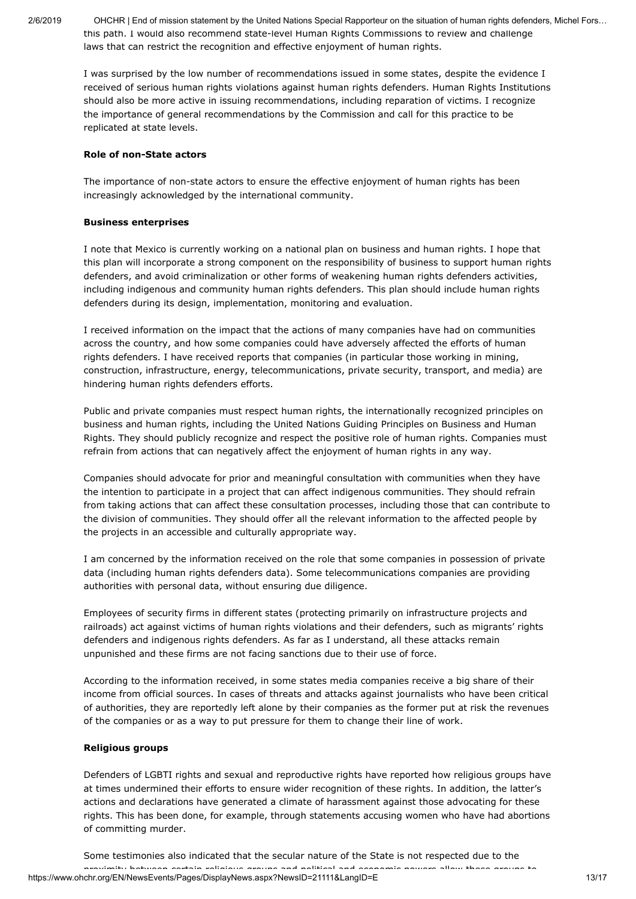2/6/2019 OHCHR | End of mission statement by the United Nations Special Rapporteur on the situation of human rights defenders, Michel Fors… this path. I would also recommend state-level Human Rights Commissions to review and challenge laws that can restrict the recognition and effective enjoyment of human rights.

I was surprised by the low number of recommendations issued in some states, despite the evidence I received of serious human rights violations against human rights defenders. Human Rights Institutions should also be more active in issuing recommendations, including reparation of victims. I recognize the importance of general recommendations by the Commission and call for this practice to be replicated at state levels.

### **Role of non-State actors**

The importance of non-state actors to ensure the effective enjoyment of human rights has been increasingly acknowledged by the international community.

### **Business enterprises**

I note that Mexico is currently working on a national plan on business and human rights. I hope that this plan will incorporate a strong component on the responsibility of business to support human rights defenders, and avoid criminalization or other forms of weakening human rights defenders activities, including indigenous and community human rights defenders. This plan should include human rights defenders during its design, implementation, monitoring and evaluation.

I received information on the impact that the actions of many companies have had on communities across the country, and how some companies could have adversely affected the efforts of human rights defenders. I have received reports that companies (in particular those working in mining, construction, infrastructure, energy, telecommunications, private security, transport, and media) are hindering human rights defenders efforts.

Public and private companies must respect human rights, the internationally recognized principles on business and human rights, including the United Nations Guiding Principles on Business and Human Rights. They should publicly recognize and respect the positive role of human rights. Companies must refrain from actions that can negatively affect the enjoyment of human rights in any way.

Companies should advocate for prior and meaningful consultation with communities when they have the intention to participate in a project that can affect indigenous communities. They should refrain from taking actions that can affect these consultation processes, including those that can contribute to the division of communities. They should offer all the relevant information to the affected people by the projects in an accessible and culturally appropriate way.

I am concerned by the information received on the role that some companies in possession of private data (including human rights defenders data). Some telecommunications companies are providing authorities with personal data, without ensuring due diligence.

Employees of security firms in different states (protecting primarily on infrastructure projects and railroads) act against victims of human rights violations and their defenders, such as migrants' rights defenders and indigenous rights defenders. As far as I understand, all these attacks remain unpunished and these firms are not facing sanctions due to their use of force.

According to the information received, in some states media companies receive a big share of their income from official sources. In cases of threats and attacks against journalists who have been critical of authorities, they are reportedly left alone by their companies as the former put at risk the revenues of the companies or as a way to put pressure for them to change their line of work.

#### **Religious groups**

Defenders of LGBTI rights and sexual and reproductive rights have reported how religious groups have at times undermined their efforts to ensure wider recognition of these rights. In addition, the latter's actions and declarations have generated a climate of harassment against those advocating for these rights. This has been done, for example, through statements accusing women who have had abortions of committing murder.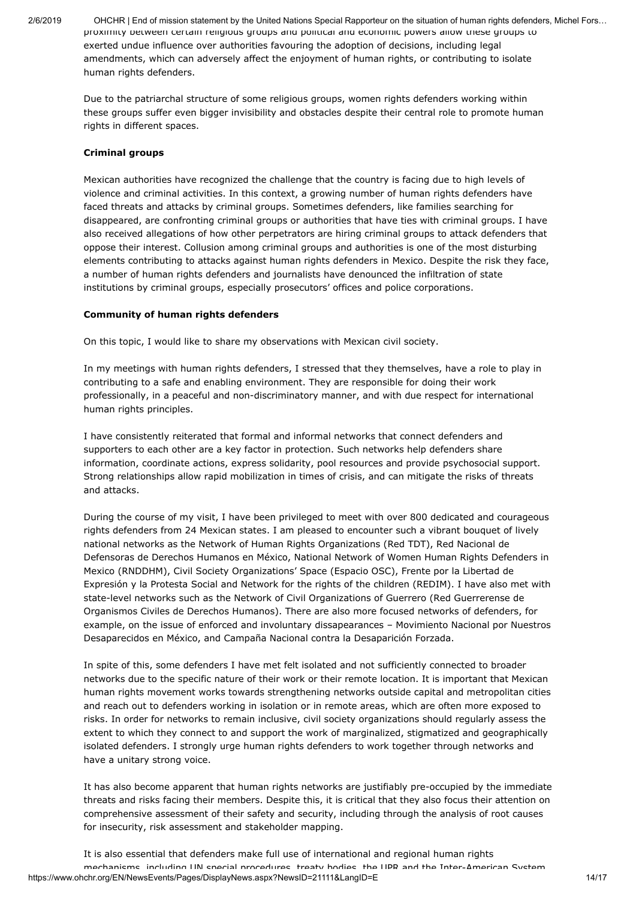2/6/2019 OHCHR | End of mission statement by the United Nations Special Rapporteur on the situation of human rights defenders, Michel Fors… proximity between certain religious groups and political and economic powers allow these groups to exerted undue influence over authorities favouring the adoption of decisions, including legal amendments, which can adversely affect the enjoyment of human rights, or contributing to isolate human rights defenders.

Due to the patriarchal structure of some religious groups, women rights defenders working within these groups suffer even bigger invisibility and obstacles despite their central role to promote human rights in different spaces.

### **Criminal groups**

Mexican authorities have recognized the challenge that the country is facing due to high levels of violence and criminal activities. In this context, a growing number of human rights defenders have faced threats and attacks by criminal groups. Sometimes defenders, like families searching for disappeared, are confronting criminal groups or authorities that have ties with criminal groups. I have also received allegations of how other perpetrators are hiring criminal groups to attack defenders that oppose their interest. Collusion among criminal groups and authorities is one of the most disturbing elements contributing to attacks against human rights defenders in Mexico. Despite the risk they face, a number of human rights defenders and journalists have denounced the infiltration of state institutions by criminal groups, especially prosecutors' offices and police corporations.

#### **Community of human rights defenders**

On this topic, I would like to share my observations with Mexican civil society.

In my meetings with human rights defenders, I stressed that they themselves, have a role to play in contributing to a safe and enabling environment. They are responsible for doing their work professionally, in a peaceful and non-discriminatory manner, and with due respect for international human rights principles.

I have consistently reiterated that formal and informal networks that connect defenders and supporters to each other are a key factor in protection. Such networks help defenders share information, coordinate actions, express solidarity, pool resources and provide psychosocial support. Strong relationships allow rapid mobilization in times of crisis, and can mitigate the risks of threats and attacks.

During the course of my visit, I have been privileged to meet with over 800 dedicated and courageous rights defenders from 24 Mexican states. I am pleased to encounter such a vibrant bouquet of lively national networks as the Network of Human Rights Organizations (Red TDT), Red Nacional de Defensoras de Derechos Humanos en México, National Network of Women Human Rights Defenders in Mexico (RNDDHM), Civil Society Organizations' Space (Espacio OSC), Frente por la Libertad de Expresión y la Protesta Social and Network for the rights of the children (REDIM). I have also met with state-level networks such as the Network of Civil Organizations of Guerrero (Red Guerrerense de Organismos Civiles de Derechos Humanos). There are also more focused networks of defenders, for example, on the issue of enforced and involuntary dissapearances – Movimiento Nacional por Nuestros Desaparecidos en México, and Campaña Nacional contra la Desaparición Forzada.

In spite of this, some defenders I have met felt isolated and not sufficiently connected to broader networks due to the specific nature of their work or their remote location. It is important that Mexican human rights movement works towards strengthening networks outside capital and metropolitan cities and reach out to defenders working in isolation or in remote areas, which are often more exposed to risks. In order for networks to remain inclusive, civil society organizations should regularly assess the extent to which they connect to and support the work of marginalized, stigmatized and geographically isolated defenders. I strongly urge human rights defenders to work together through networks and have a unitary strong voice.

It has also become apparent that human rights networks are justifiably pre-occupied by the immediate threats and risks facing their members. Despite this, it is critical that they also focus their attention on comprehensive assessment of their safety and security, including through the analysis of root causes for insecurity, risk assessment and stakeholder mapping.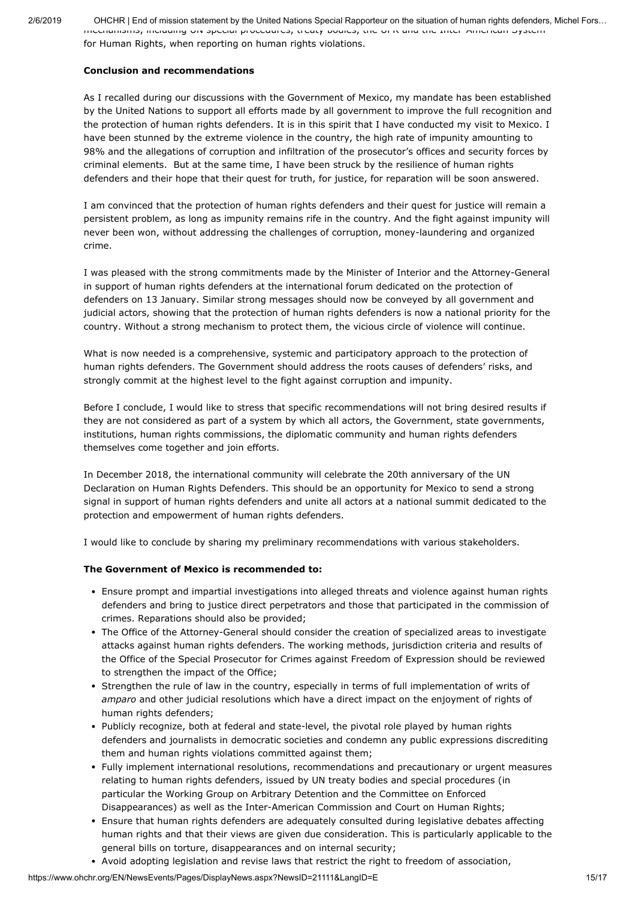2/6/2019 OHCHR | End of mission statement by the United Nations Special Rapporteur on the situation of human rights defenders, Michel Fors… mechanisms, including UN special procedures, treaty bodies, the UPR and the Inter American System for Human Rights, when reporting on human rights violations.

### **Conclusion and recommendations**

As I recalled during our discussions with the Government of Mexico, my mandate has been established by the United Nations to support all efforts made by all government to improve the full recognition and the protection of human rights defenders. It is in this spirit that I have conducted my visit to Mexico. I have been stunned by the extreme violence in the country, the high rate of impunity amounting to 98% and the allegations of corruption and infiltration of the prosecutor's offices and security forces by criminal elements. But at the same time, I have been struck by the resilience of human rights defenders and their hope that their quest for truth, for justice, for reparation will be soon answered.

I am convinced that the protection of human rights defenders and their quest for justice will remain a persistent problem, as long as impunity remains rife in the country. And the fight against impunity will never been won, without addressing the challenges of corruption, money-laundering and organized crime.

I was pleased with the strong commitments made by the Minister of Interior and the Attorney-General in support of human rights defenders at the international forum dedicated on the protection of defenders on 13 January. Similar strong messages should now be conveyed by all government and judicial actors, showing that the protection of human rights defenders is now a national priority for the country. Without a strong mechanism to protect them, the vicious circle of violence will continue.

What is now needed is a comprehensive, systemic and participatory approach to the protection of human rights defenders. The Government should address the roots causes of defenders' risks, and strongly commit at the highest level to the fight against corruption and impunity.

Before I conclude, I would like to stress that specific recommendations will not bring desired results if they are not considered as part of a system by which all actors, the Government, state governments, institutions, human rights commissions, the diplomatic community and human rights defenders themselves come together and join efforts.

In December 2018, the international community will celebrate the 20th anniversary of the UN Declaration on Human Rights Defenders. This should be an opportunity for Mexico to send a strong signal in support of human rights defenders and unite all actors at a national summit dedicated to the protection and empowerment of human rights defenders.

I would like to conclude by sharing my preliminary recommendations with various stakeholders.

## **The Government of Mexico is recommended to:**

- Ensure prompt and impartial investigations into alleged threats and violence against human rights defenders and bring to justice direct perpetrators and those that participated in the commission of crimes. Reparations should also be provided;
- The Office of the Attorney-General should consider the creation of specialized areas to investigate attacks against human rights defenders. The working methods, jurisdiction criteria and results of the Office of the Special Prosecutor for Crimes against Freedom of Expression should be reviewed to strengthen the impact of the Office;
- Strengthen the rule of law in the country, especially in terms of full implementation of writs of *amparo* and other judicial resolutions which have a direct impact on the enjoyment of rights of human rights defenders;
- Publicly recognize, both at federal and state-level, the pivotal role played by human rights defenders and journalists in democratic societies and condemn any public expressions discrediting them and human rights violations committed against them;
- Fully implement international resolutions, recommendations and precautionary or urgent measures relating to human rights defenders, issued by UN treaty bodies and special procedures (in particular the Working Group on Arbitrary Detention and the Committee on Enforced Disappearances) as well as the Inter-American Commission and Court on Human Rights;
- Ensure that human rights defenders are adequately consulted during legislative debates affecting human rights and that their views are given due consideration. This is particularly applicable to the general bills on torture, disappearances and on internal security;
- Avoid adopting legislation and revise laws that restrict the right to freedom of association,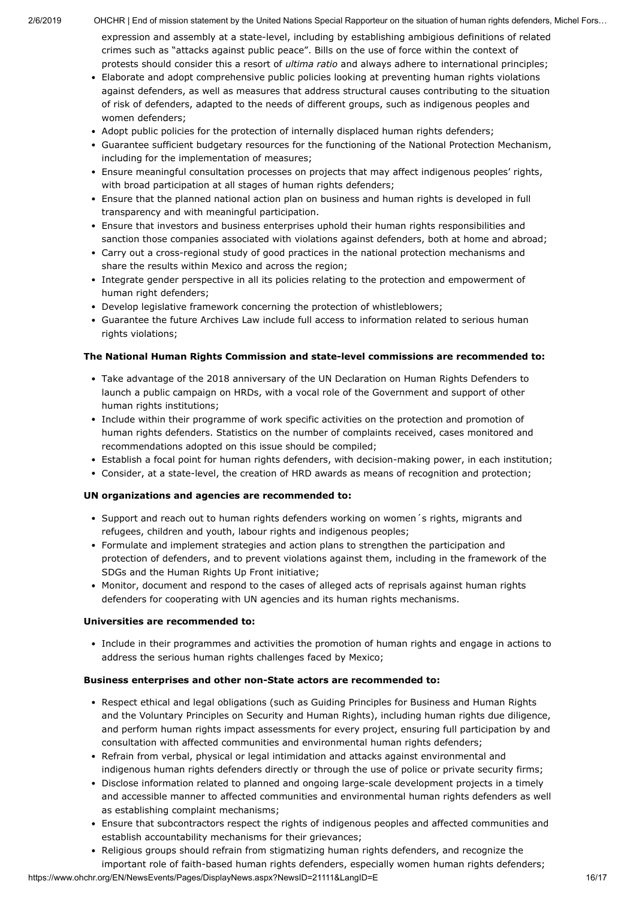expression and assembly at a state-level, including by establishing ambigious definitions of related crimes such as "attacks against public peace". Bills on the use of force within the context of protests should consider this a resort of *ultima ratio* and always adhere to international principles;

- Elaborate and adopt comprehensive public policies looking at preventing human rights violations against defenders, as well as measures that address structural causes contributing to the situation of risk of defenders, adapted to the needs of different groups, such as indigenous peoples and women defenders;
- Adopt public policies for the protection of internally displaced human rights defenders;
- Guarantee sufficient budgetary resources for the functioning of the National Protection Mechanism, including for the implementation of measures;
- Ensure meaningful consultation processes on projects that may affect indigenous peoples' rights, with broad participation at all stages of human rights defenders;
- Ensure that the planned national action plan on business and human rights is developed in full transparency and with meaningful participation.
- Ensure that investors and business enterprises uphold their human rights responsibilities and sanction those companies associated with violations against defenders, both at home and abroad;
- Carry out a cross-regional study of good practices in the national protection mechanisms and share the results within Mexico and across the region;
- Integrate gender perspective in all its policies relating to the protection and empowerment of human right defenders;
- Develop legislative framework concerning the protection of whistleblowers;
- Guarantee the future Archives Law include full access to information related to serious human rights violations;

### **The National Human Rights Commission and state-level commissions are recommended to:**

- Take advantage of the 2018 anniversary of the UN Declaration on Human Rights Defenders to launch a public campaign on HRDs, with a vocal role of the Government and support of other human rights institutions;
- Include within their programme of work specific activities on the protection and promotion of human rights defenders. Statistics on the number of complaints received, cases monitored and recommendations adopted on this issue should be compiled;
- Establish a focal point for human rights defenders, with decision-making power, in each institution;
- Consider, at a state-level, the creation of HRD awards as means of recognition and protection;

### **UN organizations and agencies are recommended to:**

- Support and reach out to human rights defenders working on women's rights, migrants and refugees, children and youth, labour rights and indigenous peoples;
- Formulate and implement strategies and action plans to strengthen the participation and protection of defenders, and to prevent violations against them, including in the framework of the SDGs and the Human Rights Up Front initiative;
- Monitor, document and respond to the cases of alleged acts of reprisals against human rights defenders for cooperating with UN agencies and its human rights mechanisms.

### **Universities are recommended to:**

Include in their programmes and activities the promotion of human rights and engage in actions to address the serious human rights challenges faced by Mexico;

### **Business enterprises and other non-State actors are recommended to:**

- Respect ethical and legal obligations (such as Guiding Principles for Business and Human Rights and the Voluntary Principles on Security and Human Rights), including human rights due diligence, and perform human rights impact assessments for every project, ensuring full participation by and consultation with affected communities and environmental human rights defenders;
- Refrain from verbal, physical or legal intimidation and attacks against environmental and indigenous human rights defenders directly or through the use of police or private security firms;
- Disclose information related to planned and ongoing large-scale development projects in a timely and accessible manner to affected communities and environmental human rights defenders as well as establishing complaint mechanisms;
- Ensure that subcontractors respect the rights of indigenous peoples and affected communities and establish accountability mechanisms for their grievances;
- Religious groups should refrain from stigmatizing human rights defenders, and recognize the important role of faith-based human rights defenders, especially women human rights defenders;